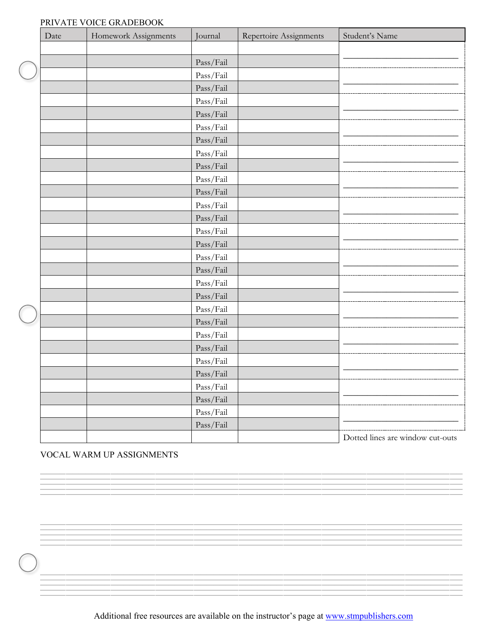## PRIVATE VOICE GRADEBOOK

|  | Date | Homework Assignments | Journal   | Repertoire Assignments | Student's Name                   |
|--|------|----------------------|-----------|------------------------|----------------------------------|
|  |      |                      |           |                        |                                  |
|  |      |                      | Pass/Fail |                        |                                  |
|  |      |                      | Pass/Fail |                        |                                  |
|  |      |                      | Pass/Fail |                        |                                  |
|  |      |                      | Pass/Fail |                        |                                  |
|  |      |                      | Pass/Fail |                        |                                  |
|  |      |                      | Pass/Fail |                        |                                  |
|  |      |                      | Pass/Fail |                        |                                  |
|  |      |                      | Pass/Fail |                        |                                  |
|  |      |                      | Pass/Fail |                        |                                  |
|  |      |                      | Pass/Fail |                        |                                  |
|  |      |                      | Pass/Fail |                        |                                  |
|  |      |                      | Pass/Fail |                        |                                  |
|  |      |                      | Pass/Fail |                        |                                  |
|  |      |                      | Pass/Fail |                        |                                  |
|  |      |                      | Pass/Fail |                        |                                  |
|  |      |                      | Pass/Fail |                        |                                  |
|  |      |                      | Pass/Fail |                        |                                  |
|  |      |                      | Pass/Fail |                        |                                  |
|  |      |                      | Pass/Fail |                        |                                  |
|  |      |                      | Pass/Fail |                        |                                  |
|  |      |                      | Pass/Fail |                        |                                  |
|  |      |                      | Pass/Fail |                        |                                  |
|  |      |                      | Pass/Fail |                        |                                  |
|  |      |                      | Pass/Fail |                        |                                  |
|  |      |                      | Pass/Fail |                        |                                  |
|  |      |                      | Pass/Fail |                        |                                  |
|  |      |                      | Pass/Fail |                        |                                  |
|  |      |                      | Pass/Fail |                        |                                  |
|  |      |                      | Pass/Fail |                        |                                  |
|  |      |                      |           |                        | Dotted lines are window cut-outs |

## VOCAL WARM UP ASSIGNMENTS

Additional free resources are available on the instructor's page at [www.stmpublishers.com](http://www.stmpublishers.com/)

 $=\frac{1}{2}$ 

 $=\frac{1}{2}$ 

==================================================================